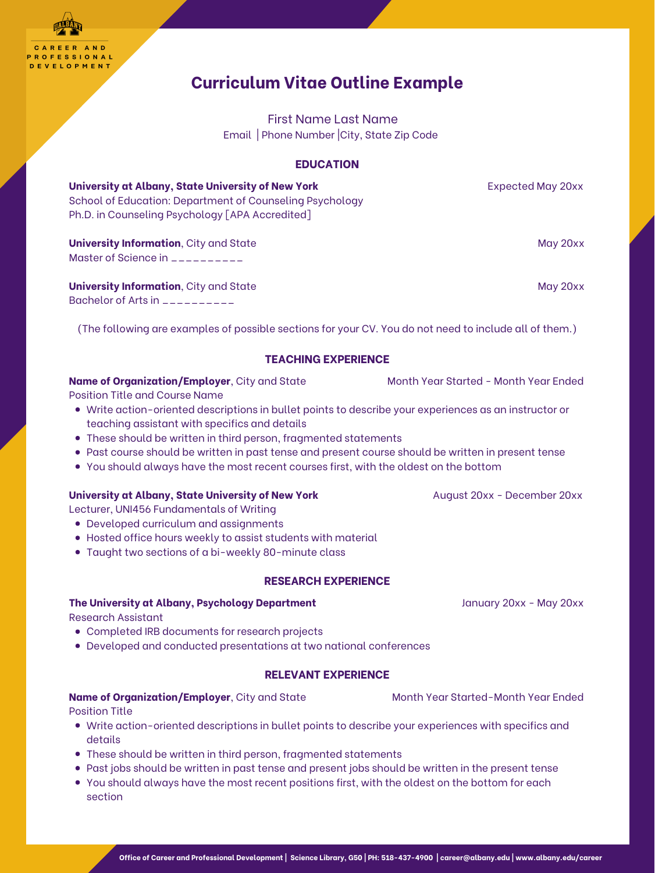AREER AND **PROFESSIONAL** ELOPMENT

- Write action-oriented descriptions in bullet points to describe your experiences as an instructor or teaching assistant with specifics and details
- These should be written in third person, fragmented statements
- Past course should be written in past tense and present course should be written in present tense
- You should always have the most recent courses first, with the oldest on the bottom

## **University at Albany, State University of New York Manufacture August 20xx - December 20xx**

- Developed curriculum and assignments
- Hosted office hours weekly to assist students with material
- Taught two sections of a bi-weekly 80-minute class

- Completed IRB documents for research projects
- Developed and conducted presentations at two national conferences

- Write action-oriented descriptions in bullet points to describe your experiences with specifics and details
- These should be written in third person, fragmented statements
- Past jobs should be written in past tense and present jobs should be written in the present tense
- You should always have the most recent positions first, with the oldest on the bottom for each section

# **Curriculum Vitae Outline Example**

First Name Last Name Email | Phone Number |City, State Zip Code

## **EDUCATION**

| University at Albany, State University of New York<br>School of Education: Department of Counseling Psychology<br>Ph.D. in Counseling Psychology [APA Accredited] | Expected May 20xx |
|-------------------------------------------------------------------------------------------------------------------------------------------------------------------|-------------------|
| <b>University Information, City and State</b>                                                                                                                     | May 20xx          |
| Master of Science in __________                                                                                                                                   |                   |
| <b>University Information, City and State</b>                                                                                                                     | May 20xx          |

Bachelor of Arts in \_\_\_\_\_\_\_\_\_\_

(The following are examples of possible sections for your CV. You do not need to include all of them.)

# **TEACHING EXPERIENCE**

## **Name of Organization/Employer**, City and State Month Year Started - Month Year Ended

Position Title and Course Name

Lecturer, UNI456 Fundamentals of Writing

# **RESEARCH EXPERIENCE**

## **The University at Albany, Psychology Department** January 20xx - May 20xx

Research Assistant

# **RELEVANT EXPERIENCE**

#### **Name of Organization/Employer**, City and State Month Year Started-Month Year Ended

Position Title